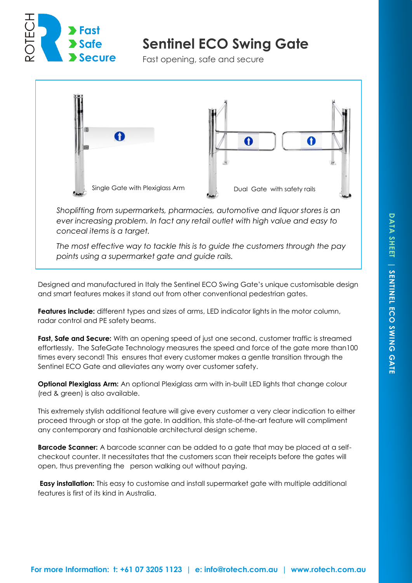

# **Sentinel ECO Swing Gate**

Fast opening, safe and secure



*Shoplifting from supermarkets, pharmacies, automotive and liquor stores is an ever increasing problem. In fact any retail outlet with high value and easy to conceal items is a target.* 

*The most effective way to tackle this is to guide the customers through the pay points using a supermarket gate and guide rails.*

Designed and manufactured in Italy the Sentinel ECO Swing Gate's unique customisable design and smart features makes it stand out from other conventional pedestrian gates.

**Features include:** different types and sizes of arms, LED indicator lights in the motor column, radar control and PE safety beams.

**Fast, Safe and Secure:** With an opening speed of just one second, customer traffic is streamed effortlessly. The SafeGate Technology measures the speed and force of the gate more than100 times every second! This ensures that every customer makes a gentle transition through the Sentinel ECO Gate and alleviates any worry over customer safety.

**Optional Plexiglass Arm:** An optional Plexiglass arm with in-built LED lights that change colour (red & green) is also available.

This extremely stylish additional feature will give every customer a very clear indication to either proceed through or stop at the gate. In addition, this state-of-the-art feature will compliment any contemporary and fashionable architectural design scheme.

**Barcode Scanner:** A barcode scanner can be added to a gate that may be placed at a selfcheckout counter. It necessitates that the customers scan their receipts before the gates will open, thus preventing the person walking out without paying.

**Easy installation:** This easy to customise and install supermarket gate with multiple additional features is first of its kind in Australia.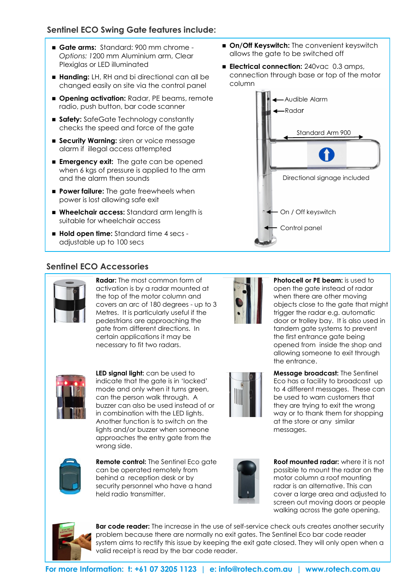## **Sentinel ECO Swing Gate features include:**

- **Gate arms:** Standard: 900 mm chrome *Options: 1*200 mm Aluminium arm, Clear Plexiglas or LED illuminated
- **Handing:** LH, RH and bi directional can all be changed easily on site via the control panel
- $\blacksquare$  **Opening activation:** Radar, PE beams, remote radio, push button, bar code scanner
- **Safety:** SafeGate Technology constantly checks the speed and force of the gate
- **Security Warning:** siren or voice message alarm if illegal access attempted
- **Emergency exit:** The gate can be opened when 6 kgs of pressure is applied to the arm and the alarm then sounds
- **Power failure:** The gate freewheels when power is lost allowing safe exit
- **Wheelchair access:** Standard arm length is suitable for wheelchair access
- **Hold open time:** Standard time 4 secs adjustable up to 100 secs

## **Sentinel ECO Accessories**



**Radar:** The most common form of activation is by a radar mounted at the top of the motor column and covers an arc of 180 degrees - up to 3 Metres. It is particularly useful if the pedestrians are approaching the gate from different directions. In certain applications it may be necessary to fit two radars.



**LED signal light:** can be used to indicate that the gate is in 'locked' mode and only when it turns green, can the person walk through. A in combination with the LED lights. Another function is to switch on the lights and/or buzzer when someone approaches the entry gate from the wrong side.



**Remote control:** The Sentinel Eco gate can be operated remotely from behind a reception desk or by security personnel who have a hand held radio transmitter.



**Roof mounted radar:** where it is not possible to mount the radar on the motor column a roof mounting radar is an alternative. This can cover a large area and adjusted to screen out moving doors or people walking across the gate opening.



**Bar code reader:** The increase in the use of self-service check outs creates another security problem because there are normally no exit gates. The Sentinel Eco bar code reader system aims to rectify this issue by keeping the exit gate closed. They will only open when a valid receipt is read by the bar code reader.

- **On/Off Keyswitch:** The convenient keyswitch allows the gate to be switched off
- **Electrical connection:** 240vac 0.3 amps, connection through base or top of the motor column



**Photocell or PE beam:** is used to open the gate instead of radar when there are other moving objects close to the gate that might trigger the radar e.g. automatic door or trolley bay. It is also used in tandem gate systems to prevent the first entrance gate being opened from inside the shop and allowing someone to exit through the entrance.

**Message broadcast:** The Sentinel Eco has a facility to broadcast up to 4 different messages. These can be used to warn customers that they are trying to exit the wrong way or to thank them for shopping

at the store or any similar

messages.



buzzer can also be used instead of or



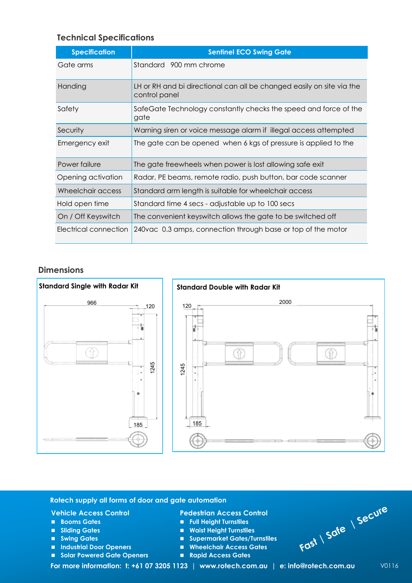## **Technical Specifications**

| <b>Specification</b>  | <b>Sentinel ECO Swing Gate</b>                                                         |  |  |
|-----------------------|----------------------------------------------------------------------------------------|--|--|
| Gate arms             | Standard 900 mm chrome                                                                 |  |  |
| Handing               | LH or RH and bi directional can all be changed easily on site via the<br>control panel |  |  |
| Safety                | SafeGate Technology constantly checks the speed and force of the<br>gate               |  |  |
| Security              | Warning siren or voice message alarm if illegal access attempted                       |  |  |
| Emergency exit        | The gate can be opened when 6 kgs of pressure is applied to the                        |  |  |
| Power failure         | The gate freewheels when power is lost allowing safe exit                              |  |  |
| Opening activation    | Radar, PE beams, remote radio, push button, bar code scanner                           |  |  |
| Wheelchair access     | Standard arm length is suitable for wheelchair access                                  |  |  |
| Hold open time        | Standard time 4 secs - adjustable up to 100 secs                                       |  |  |
| On / Off Keyswitch    | The convenient keyswitch allows the gate to be switched off                            |  |  |
| Electrical connection | 240 vac 0.3 amps, connection through base or top of the motor                          |  |  |

## **Dimensions**



#### **Rotech supply all forms of door and gate automation**

#### **Vehicle Access Control**

- **Booms Gates**
- **Sliding Gates**
- **Swing Gates**
- **Industrial Door Openers**
- **Solar Powered Gate Openers**

### **Pedestrian Access Control**

- **Full Height Turnstiles**
- **Waist Height Turnstiles**
- **Supermarket Gates/Turnstiles**
- **Wheelchair Access Gates**
- **Rapid Access Gates**



**Fast | Safe | Secure**